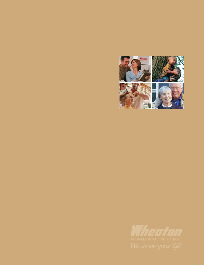

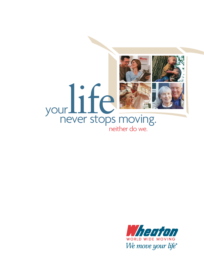

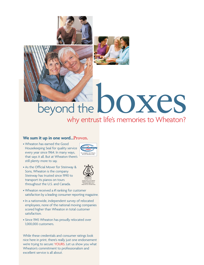

# beyond the DOXES why entrust life's memories to Wheaton?

#### **We sum it up in one word…Proven.**

• Wheaton has earned the Good Housekeeping Seal for quality service every year since 1964. In many ways, that says it all. But at Wheaton there's still plenty more to say.



• As the Official Mover for Steinway & Sons, Wheaton is the company Steinway has trusted since 1990 to transport its pianos on tours throughout the U.S. and Canada.



- Wheaton received a #1 ranking for customer satisfaction by a leading consumer reporting magazine.
- In a nationwide, independent survey of relocated employees, none of the national moving companies scored higher than Wheaton in total customer satisfaction.
- Since 1945 Wheaton has proudly relocated over 1,000,000 customers.

While these credentials and consumer ratings look nice here in print, there's really just one endorsement we're trying to secure: YOURS. Let us show you what Wheaton's commitment to professionalism and excellent service is all about.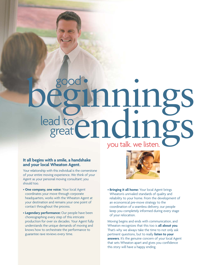# beginnings lead to endings great you talk. we listen.

#### **It all begins with a smile, a handshake and your local Wheaton Agent.**

Your relationship with this individual is the cornerstone of your entire moving experience. We think of your Agent as your personal moving consultant; you should too.

- **One company, one voice:** Your local Agent coordinates your move through corporate headquarters, works with the Wheaton Agent at your destination and remains your one point of contact throughout the process.
- **Legendary performance:** Our people have been choreographing every step of this intricate production for over six decades. Your Agent fully understands the unique demands of moving and knows how to orchestrate the performance to guarantee rave reviews every time.



• **Bringing it all home:** Your local Agent brings Wheaton's unrivaled standards of quality and reliability to your home. From the development of an economical pre-move strategy to the coordination of a seamless delivery, our people keep you completely informed during every stage of your relocation.

Moving begins and ends with communication, and Wheaton recognizes that this too is **all about you**. That's why we always take the time to not only ask pertinent questions, but to really **listen to your** answers. It's the genuine concern of your local Agent that sets Wheaton apart and gives you confidence this story will have a happy ending.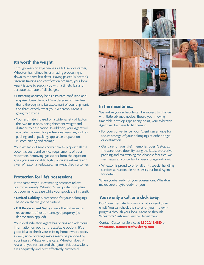### **It's worth the weight.**

Through years of experience as a full-service carrier, Wheaton has refined its estimating process right down to the smallest detail. Having passed Wheaton's rigorous training and certification program, your local Agent is able to supply you with a timely, fair and accurate estimate of all charges.

- Estimating accuracy helps eliminate confusion and surprise down the road. You deserve nothing less than a thorough and fair assessment of your shipment, and that's exactly what your Wheaton Agent is going to provide.
- Your estimate is based on a wide variety of factors, the two main ones being shipment weight and distance to destination. In addition, your Agent will evaluate the need for professional services, such as packing and unpacking, appliance preparation, custom crating and storage.

Your Wheaton Agent knows how to pinpoint all the potential costs and service requirements of your relocation. Removing guesswork from the equation gives you a reasonable, highly-accurate estimate and gives Wheaton an educated, highly-satisfied customer.

#### **Protection for life's possessions.**

In the same way our estimating practices relieve pre-move anxiety, Wheaton's two protection plans put your mind at ease while your goods are in transit.

- **Limited Liability** is protection for your belongings based on the weight per article.
- **Full Replacement Value** covers the full repair or replacement of lost or damaged property (no depreciation applied).

Your local Wheaton Agent has pricing and additional information on each of the available options. It's a good idea to check your existing homeowner's policy as well, since coverage may already be provided by your insurer. Whatever the case, Wheaton doesn't rest until you rest assured that your life's possessions are adequately and cost-effectively protected.





#### **In the meantime…**

We realize your schedule can be subject to change with little advance notice. Should your moving timetable develop gaps at any point, your Wheaton Agent will be there to fill them in.

- For your convenience, your Agent can arrange for secure storage of your belongings at either origin or destination.
- Our care for your life's memories doesn't stop at the warehouse door. By using the latest protective padding and maintaining the cleanest facilities, we wash away any uncertainty over storage-in-transit.
- Wheaton is proud to offer all of its special handling services at reasonable rates. Ask your local Agent for details.

When you're ready for your possessions, Wheaton makes sure they're ready for you.

#### **You're only a call or a click away.**

Don't ever hesitate to give us a call or send us an email. You can check the status of your move-inprogress through your local Agent or through Wheaton's Customer Service Department.

Contact Customer Service at **1.800.248.4810** or **wheatoncustomercare@wvlcorp.com**.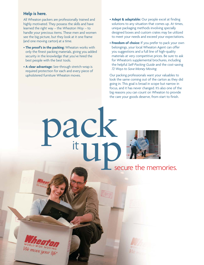### **Help is here.**

All Wheaton packers are professionally trained and highly motivated. They possess the skills and have learned the right way – the *Wheaton Way* – to handle your precious items. These men and women see the big picture, but they look at it one frame (and one moving carton) at a time.

- **The proof's in the packing:** Wheaton works with only the finest packing materials, giving you added security in the knowledge that you've hired the best people with the best tools.
- **A clear advantage:** See-through stretch-wrap is required protection for each and every piece of upholstered furniture Wheaton moves.

pack<br>tub

- **Adept & adaptable:** Our people excel at finding solutions to any situation that comes up. At times, unique packaging methods involving specially designed boxes and custom crates may be utilized to meet your needs and exceed your expectations.
- **Freedom of choice:** If you prefer to pack your own belongings, your local Wheaton Agent can offer you suggestions and a full line of high-quality materials at very competitive prices. Be sure to ask for Wheaton's supplemental brochures, including the helpful *Self-Packing Guide* and the cost-saving *72 Ways to Save Money Moving.*

Our packing professionals want your valuables to look the same coming out of the carton as they did going in. This goal is broad in scope but narrow in focus, and it has never changed. It's also one of the big reasons you can count on Wheaton to provide the care your goods deserve, from start to finish.

secure the memories.

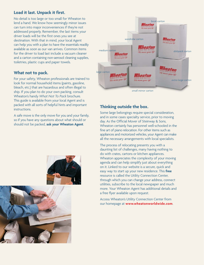# **Load it last. Unpack it first.**

No detail is too large or too small for Wheaton to lend a hand. We know how seemingly minor issues can turn into major inconveniences if they're not addressed properly. Remember, the last items your driver loads will be the first ones you see at destination. With that in mind, your local Agent can help you with a plan to have the essentials readily available as soon as our van arrives. Common items for the driver to load last include a vacuum cleaner and a carton containing non-aerosol cleaning supplies, toiletries, plastic cups and paper towels.

# **What not to pack.**

For your safety, Wheaton professionals are trained to look for normal household items (paints, gasoline, bleach, etc.) that are hazardous and often illegal to ship. If you plan to do your own packing, consult Wheaton's handy *What Not To Pack* brochure. This guide is available from your local Agent and is packed with all sorts of helpful hints and important instructions.

A safe move is the only move for you and your family, so if you have any questions about what should or should not be packed, **ask your Wheaton Agent**.







# **Thinking outside the box.**

Some large belongings require special consideration, and in some cases specialty service, prior to moving day. As the Official Mover of Steinway & Sons, Wheaton certainly has personnel well-schooled in the fine art of piano relocation. For other items such as appliances and motorized vehicles, your Agent can make all the necessary arrangements with local specialists.

The process of relocating presents you with a daunting list of challenges, many having nothing to do with crates, cartons or kitchen appliances. Wheaton appreciates the complexity of your moving agenda and can help simplify just about everything on it. Linked to our website is a secure, quick and easy way to start up your new residence. This **free** resource is called the Utility Connection Center, through which you can change your address, connect utilities, subscribe to the local newspaper and much more. Your Wheaton Agent has additional details and a free flyer available upon request.

Access Wheaton's Utility Connection Center from our homepage at **www.wheatonworldwide.com**.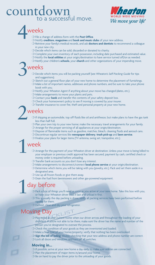# countdown a successful move.



# weeks

- ❍ File a change of address form with the **Post Office**.
- ❍ Notify **creditors**, **magazines** and **book and music clubs** of your new address.
- ❍ Retrieve your family's medical records, and ask **doctors and dentists** to recommend a colleague in your new city.
- ❍ Decide which items can be sold, discarded or donated to charity.
- ❍ Complete your own inventory of each possession, including date purchased and estimated value.
- ❍ Notify the **local utilities** at your origin/destination to have service turned off/on as needed.
- ❍ Notify your children's **schools**, your **church** and other organizations of your impending move.

# 3weeks

- ❍ Decide which items you will be packing yourself (see Wheaton's *Self-Packing Guide* for tips and suggestions).
- ❍ Sketch out a general floor plan of your new home to determine the placement of furnishings.
- ❍ Make a list of important names, addresses and phone numbers, and be sure to take your phone book with you.
- ❍ Notify your Wheaton Agent if anything about your move has changed (dates, etc.).
- ❍ Make arrangements to move your plants and pets.
- ❍ Contact your **bank** and transfer the contents of your safety deposit box.
- ❍ Check your homeowner's policy to see if moving is covered by your insurer.
- ❍ Transfer insurance to cover fire, theft and personal property at your new home.

# weeks

- ❍ If shipping an automobile, top off fluids like oil and antifreeze, but make plans to have the gas tank less than half-full.
- ❍ Plan your own trip to your new home; make the necessary travel arrangements for your family.
- ❍ Arrange for the proper servicing of all appliances at your origin/destination.
- ❍ Dispose of flammable items such as gasoline, matches, bleach, cleaning fluids and aerosol cans.
- ❍ Discontinue regular services like **newspaper delivery**, **trash pick-up** and **lawn service**.
- ❍ Finalize your plans for larger items (TV antenna, swing set, trampoline, etc.).

# week

- ❍ Arrange for the payment of your Wheaton driver at destination. Unless your move is being billed to your employer or previous credit approval has been secured, payment by cash, certified check or money order is required before unloading.
- ❍ Transfer bank accounts so you don't lose any interest.
- ❍ Make arrangements to disconnect/connect **local phone service** at your origin/destination.
- ❍ Determine which items you will be taking with you (jewelry, etc.). Pack and set them aside in a designated area.
- ❍ Use up all frozen foods or give them away.
- ❍ Drain the fuel from lawnmowers and other gas-powered equipment.

# day before

- ❍ Pack a box of things you'll need as soon as you arrive at your new home. Take this box with you, or have your Wheaton driver load it last and unload it first.
- ❍ This is usually the day packing is done; verify all packing services have been performed before signing for them.
- O Defrost, clean and dry your refrigerator.

# Moving Day

- ❍ Plan to be at your current home when our driver arrives and throughout the loading of your shipment. If you're not able to be there, make sure the driver has the name and number of the person you've designated to oversee the process.
- ❍ Check the condition of your goods as they are inventoried and loaded.
- ❍ Make a final tour of your home/property; verify that nothing has been overlooked.
- ❍ **Sign the bill of lading**, double-checking that your new address and phone number are correct.
- ❍ Lock all doors and windows, and turn off all switches.

#### **Moving in…**

- ❍ If possible, arrive at your new home a day early to make sure utilities are connected.
- ❍ Plan the placement of major items in/around your home.
- ❍ Be on hand to pay the driver prior to the unloading of your goods.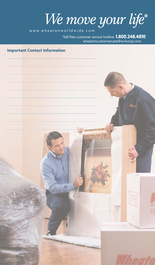

www.wheatonworldwide.com

wheatoncustomercare@wvlcorp.com Toll-free customer service hotline: **1.800.248.4810**

# **Important Contact Information**

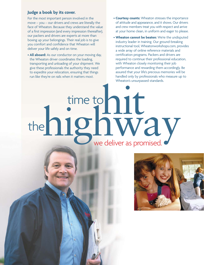#### **Judge a book by its cover.**

For the most important person involved in the move – you – our drivers and crews are literally the face of Wheaton. Because they understand the value of a first impression (and every impression thereafter), our packers and drivers are experts at more than boxing up your belongings. Their real job is to give you comfort and confidence that Wheaton will deliver your life safely and on time.

- **All aboard:** As our conductor on your moving day, the Wheaton driver coordinates the loading, transporting and unloading of your shipment. We give these professionals the authority they need to expedite your relocation, ensuring that things run like they're on rails when it matters most.
- **Courtesy counts:** Wheaton stresses the importance of attitude and appearance, and it shows. Our drivers and crew members treat you with respect and arrive at your home clean, in uniform and eager to please.
- **Wheaton cannot be beaten:** We're the undisputed industry leader in training. Our ground-breaking instructional tool, Wheatonworkshops.com, provides a wide array of online reference materials and certification programs. Packers and drivers are required to continue their professional education, with Wheaton closely monitoring their job performance and rewarding them accordingly. Be assured that your life's precious memories will be handled only by professionals who measure up to Wheaton's unsurpassed standards.

hit the highway time to

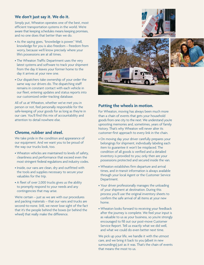# **We don't just say it. We do it.**

Simply put, Wheaton operates one of the best, most efficient transportation systems in the world. We're aware that keeping schedules means keeping promises, and no one does that better than we do.

- As the saying goes, "knowledge is power." Well, knowledge for you is also freedom – freedom from worry, because we'll know precisely where your life's possessions are at all times.
- The Wheaton Traffic Department uses the very latest systems and software to track your shipment from the day it leaves your former home to the day it arrives at your new one.
- Our dispatchers take ownership of your order the same way our drivers do. The dispatching staff remains in constant contact with each vehicle in our fleet, entering updates and status reports into our customized order-tracking database.

All of us at Wheaton, whether we've met you in person or not, feel personally responsible for the safe-keeping of your goods for as long as they're in our care. You'll find this mix of accountability and attention to detail nowhere else.

# **Chrome, rubber and steel.**

We take pride in the condition and appearance of our equipment. And we want you to be proud of the way our trucks look, too.

- Wheaton vehicles are maintained to levels of safety, cleanliness and performance that exceed even the most stringent federal regulations and industry codes.
- Inside, our vans are clean, dry and outfitted with the tools and supplies necessary to secure your valuables for the trip.
- A fleet of over 2,000 trucks gives us the ability to promptly respond to your needs and any contingencies that may arise.

We're certain – just as we are with our procedures and packing materials – that our vans and trucks are second-to-none. Still, we never lose sight of the fact that it's the people behind the boxes (or behind the wheel) that really make the difference.







## **Putting the wheels in motion.**

For Wheaton, moving has always been much more than a chain of events that gets your household goods from one city to the next. We understand you're uprooting memories and, sometimes, years of family history. That's why Wheaton will never alter its customer-first approach to every link in the chain.

- On moving day your driver carefully prepares your belongings for shipment, individually labeling each item to guarantee it won't be misplaced. The condition of all goods is verified and a detailed inventory is provided to you; only then are your possessions protected and secured inside the van.
- Wheaton establishes firm departure and arrival times, and in-transit information is always available through your local Agent or the Customer Service Department.
- Your driver professionally manages the unloading of your shipment at destination. During this process you'll use the original inventory sheets to confirm the safe arrival of all items at your new home.
- Wheaton looks forward to receiving your feedback after the journey is complete. We feel your input is as valuable to us as your business, so you're strongly encouraged to fill out our post-move Customer Service Report. Tell us exactly what we did well, and what we could do even better next time.

We pick up your life, we handle it with the utmost care, and we bring it back to you (albeit in new surroundings) just as it was. That's the chain of events that means the most to us.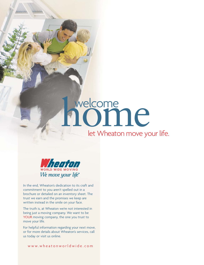# welcome<br>**NOMIC**

# let Wheaton move your life.



In the end, Wheaton's dedication to its craft and commitment to you aren't spelled out in a brochure or detailed on an inventory sheet. The trust we earn and the promises we keep are written instead in the smile on your face.

The truth is, at Wheaton we're not interested in being just a moving company. We want to be YOUR moving company, the one you trust to move your life.

For helpful information regarding your next move, or for more details about Wheaton's services, call us today or visit us online.

www.wheatonworldwide.com